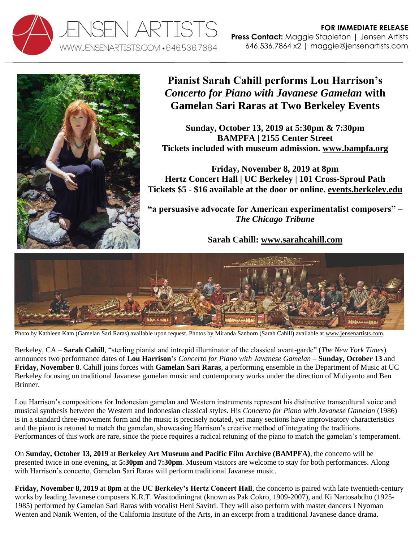



## **Pianist Sarah Cahill performs Lou Harrison's** *Concerto for Piano with Javanese Gamelan* **with Gamelan Sari Raras at Two Berkeley Events**

**Sunday, October 13, 2019 at 5:30pm & 7:30pm BAMPFA | 2155 Center Street Tickets included with museum admission. [www.bampfa.org](http://www.bampfa.org/)**

**Friday, November 8, 2019 at 8pm Hertz Concert Hall | UC Berkeley | 101 Cross-Sproul Path Tickets \$5 - \$16 available at the door or online. [events.berkeley.edu](http://events.berkeley.edu/index.php/calendar/sn/music.html?event_ID=126919&date=2019-11-08&filter=Secondary%20Event%20Type&filtersel)**

**"a persuasive advocate for American experimentalist composers" –** *The Chicago Tribune*

**Sarah Cahill: [www.sarahcahill.com](http://www.sarahcahill.com/)**



Photo by Kathleen Kam (Gamelan Sari Raras) available upon request. Photos by Miranda Sanborn (Sarah Cahill) available a[t www.jensenartists.com.](http://www.jensenartists.com/sarah-cahill)

Berkeley, CA – **Sarah Cahill**, "sterling pianist and intrepid illuminator of the classical avant-garde" (*The New York Times*) announces two performance dates of **Lou Harrison**'s *Concerto for Piano with Javanese Gamelan* – **Sunday, October 13** and **Friday, November 8**. Cahill joins forces with **Gamelan Sari Raras**, a performing ensemble in the Department of Music at UC Berkeley focusing on traditional Javanese gamelan music and contemporary works under the direction of Midiyanto and Ben Brinner.

Lou Harrison's compositions for Indonesian gamelan and Western instruments represent his distinctive transcultural voice and musical synthesis between the Western and Indonesian classical styles. His *Concerto for Piano with Javanese Gamelan* (1986) is in a standard three-movement form and the music is precisely notated, yet many sections have improvisatory characteristics and the piano is retuned to match the gamelan, showcasing Harrison's creative method of integrating the traditions. Performances of this work are rare, since the piece requires a radical retuning of the piano to match the gamelan's temperament.

On **Sunday, October 13, 2019** at **Berkeley Art Museum and Pacific Film Archive (BAMPFA)**, the concerto will be presented twice in one evening, at **5:30pm** and **7:30pm**. Museum visitors are welcome to stay for both performances. Along with Harrison's concerto, Gamelan Sari Raras will perform traditional Javanese music.

**Friday, November 8, 2019** at **8pm** at the **UC Berkeley's Hertz Concert Hall**, the concerto is paired with late twentieth-century works by leading Javanese composers K.R.T. Wasitodiningrat (known as Pak Cokro, 1909-2007), and Ki Nartosabdho (1925- 1985) performed by Gamelan Sari Raras with vocalist Heni Savitri. They will also perform with master dancers I Nyoman Wenten and Nanik Wenten, of the California Institute of the Arts, in an excerpt from a traditional Javanese dance drama.